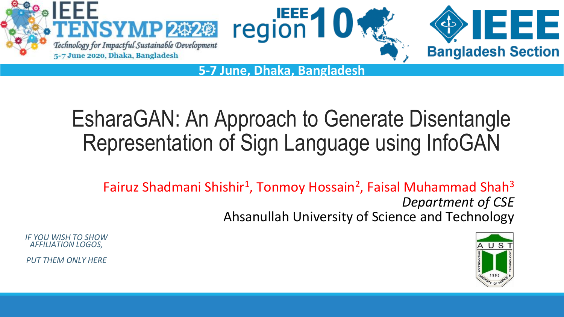

**5-7 June, Dhaka, Bangladesh**

## EsharaGAN: An Approach to Generate Disentangle Representation of Sign Language using InfoGAN

Fairuz Shadmani Shishir<sup>1</sup>, Tonmoy Hossain<sup>2</sup>, Faisal Muhammad Shah<sup>3</sup> *Department of CSE* Ahsanullah University of Science and Technology



*IF YOU WISH TO SHOW AFFILIATION LOGOS,* 

*PUT THEM ONLY HERE*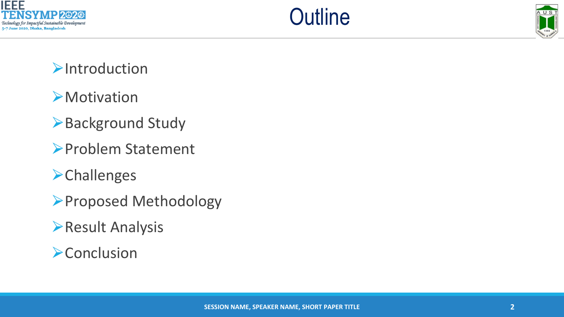





#### **Example 12**

#### **EXA** Motivation

- ▶Background Study
- ⮚Problem Statement
- **Example 18**
- ⮚Proposed Methodology
- **Result Analysis**
- **Example 20 Conclusion**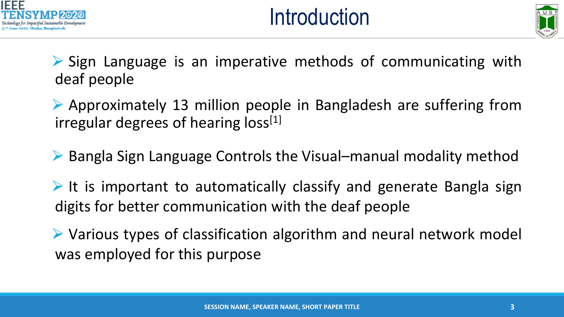



▶ Sign Language is an imperative methods of communicating with deaf people

⮚ Approximately 13 million people in Bangladesh are suffering from irregular degrees of hearing  $loss<sup>[1]</sup>$ 

▶ Bangla Sign Language Controls the Visual–manual modality method

 $\triangleright$  It is important to automatically classify and generate Bangla sign digits for better communication with the deaf people

**► Various types of classification algorithm and neural network model** was employed for this purpose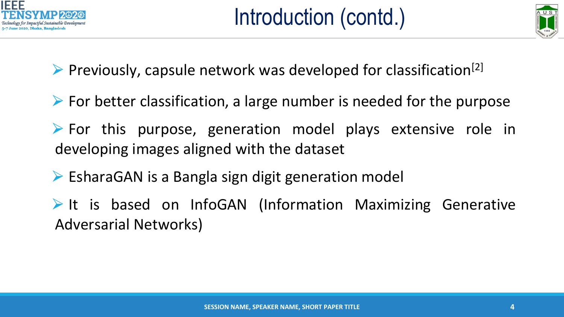



 $\triangleright$  Previously, capsule network was developed for classification<sup>[2]</sup>

- $\triangleright$  For better classification, a large number is needed for the purpose
- $\triangleright$  For this purpose, generation model plays extensive role in developing images aligned with the dataset
- $\triangleright$  EsharaGAN is a Bangla sign digit generation model
- It is based on InfoGAN (Information Maximizing Generative Adversarial Networks)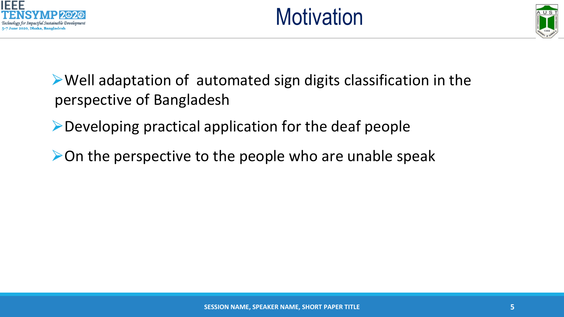



⮚Well adaptation of automated sign digits classification in the perspective of Bangladesh

⮚Developing practical application for the deaf people

 $\triangleright$  On the perspective to the people who are unable speak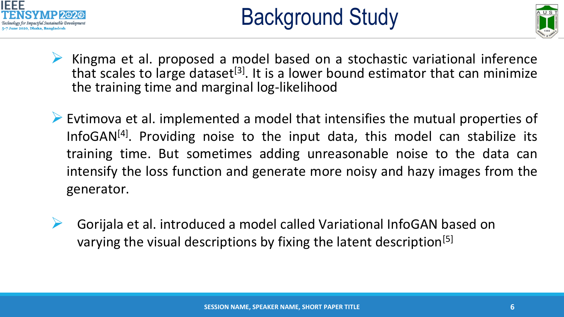



- Kingma et al. proposed a model based on a stochastic variational inference that scales to large dataset<sup>[3]</sup>. It is a lower bound estimator that can minimize the training time and marginal log-likelihood
- ➢ Evtimova et al. implemented a model that intensifies the mutual properties of InfoGAN<sup>[4]</sup>. Providing noise to the input data, this model can stabilize its training time. But sometimes adding unreasonable noise to the data can intensify the loss function and generate more noisy and hazy images from the generator.
- ➢ Gorijala et al. introduced a model called Variational InfoGAN based on varying the visual descriptions by fixing the latent description<sup>[5]</sup>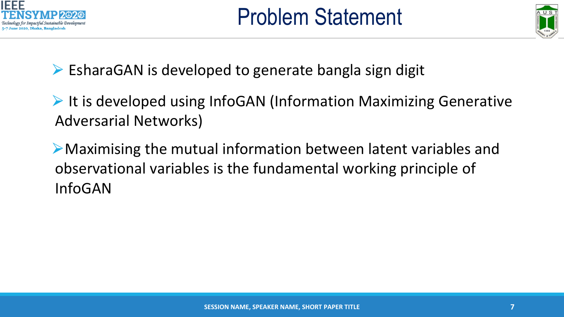



 $\triangleright$  EsharaGAN is developed to generate bangla sign digit

▶ It is developed using InfoGAN (Information Maximizing Generative Adversarial Networks)

⮚Maximising the mutual information between latent variables and observational variables is the fundamental working principle of InfoGAN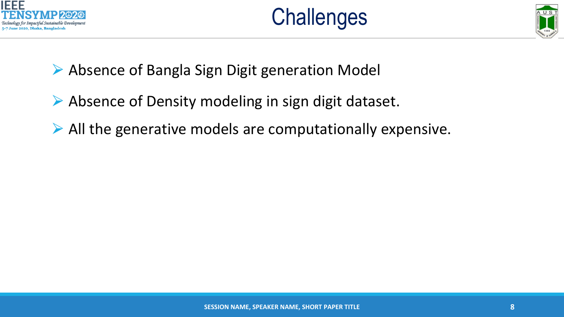





**▶ Absence of Bangla Sign Digit generation Model** 

- ▶ Absence of Density modeling in sign digit dataset.
- ⮚ All the generative models are computationally expensive.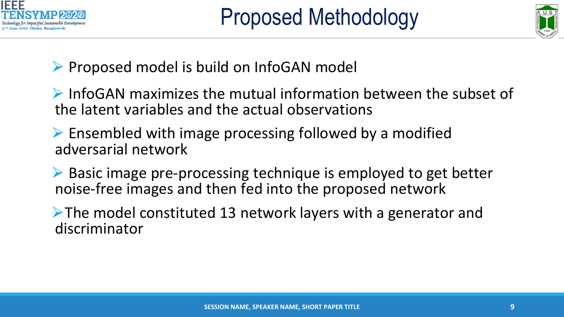



▶ Proposed model is build on InfoGAN model

⮚ InfoGAN maximizes the mutual information between the subset of the latent variables and the actual observations

 $\triangleright$  Ensembled with image processing followed by a modified adversarial network

**► Basic image pre-processing technique is employed to get better** noise-free images and then fed into the proposed network

**►The model constituted 13 network layers with a generator and** discriminator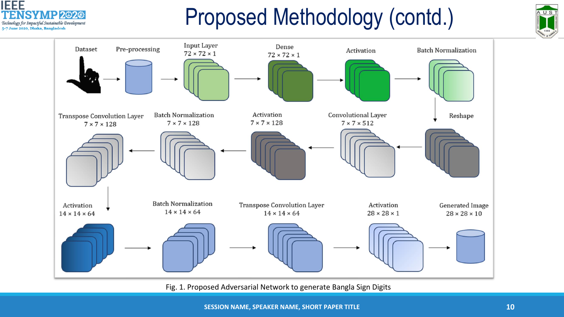

# Proposed Methodology (contd.)





Fig. 1. Proposed Adversarial Network to generate Bangla Sign Digits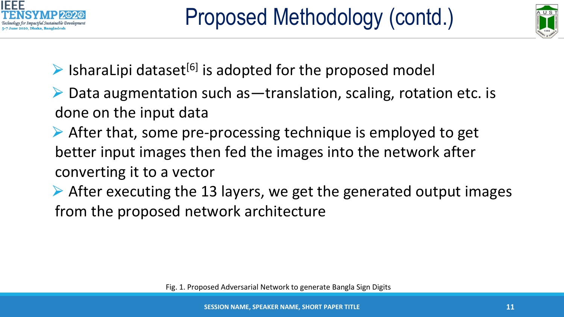



- $\triangleright$  IsharaLipi dataset<sup>[6]</sup> is adopted for the proposed model
- $\triangleright$  Data augmentation such as translation, scaling, rotation etc. is done on the input data
- $\triangleright$  After that, some pre-processing technique is employed to get better input images then fed the images into the network after converting it to a vector
- $\triangleright$  After executing the 13 layers, we get the generated output images from the proposed network architecture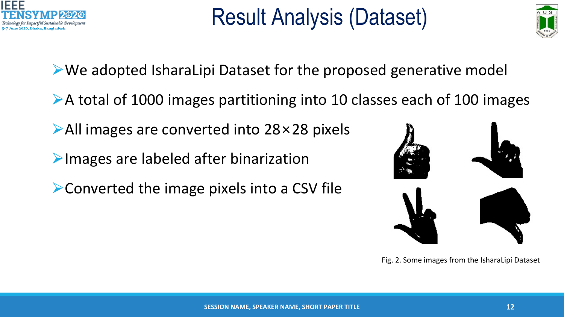



▶We adopted IsharaLipi Dataset for the proposed generative model

- ▶A total of 1000 images partitioning into 10 classes each of 100 images
- **▶All images are converted into 28×28 pixels**
- Images are labeled after binarization
- ▶ Converted the image pixels into a CSV file



Fig. 2. Some images from the IsharaLipi Dataset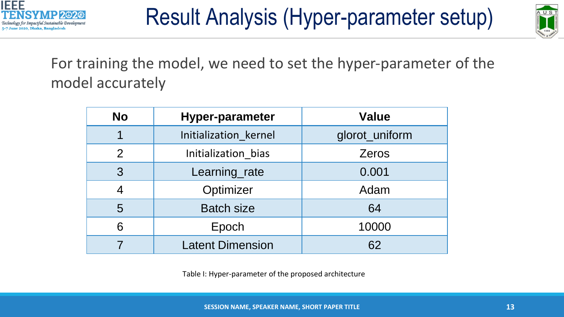



For training the model, we need to set the hyper-parameter of the model accurately

| <b>No</b>      | <b>Hyper-parameter</b>  | <b>Value</b>   |
|----------------|-------------------------|----------------|
|                | Initialization_kernel   | glorot_uniform |
| $\overline{2}$ | Initialization_bias     | <b>Zeros</b>   |
| 3              | Learning_rate           | 0.001          |
|                | Optimizer               | Adam           |
| 5              | <b>Batch size</b>       | 64             |
| 6              | Epoch                   | 10000          |
|                | <b>Latent Dimension</b> | 62             |

Table I: Hyper-parameter of the proposed architecture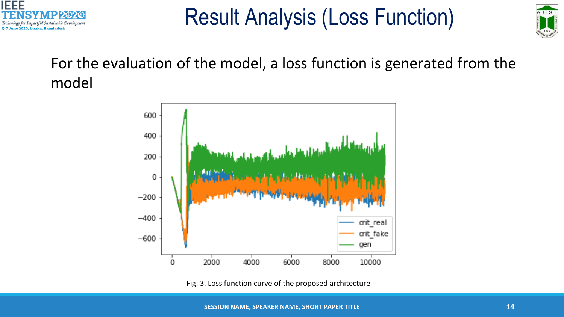



For the evaluation of the model, a loss function is generated from the model



Fig. 3. Loss function curve of the proposed architecture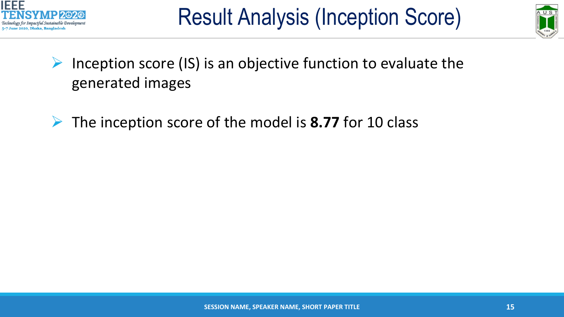



- $\triangleright$  Inception score (IS) is an objective function to evaluate the generated images
- ➢ The inception score of the model is **8.77** for 10 class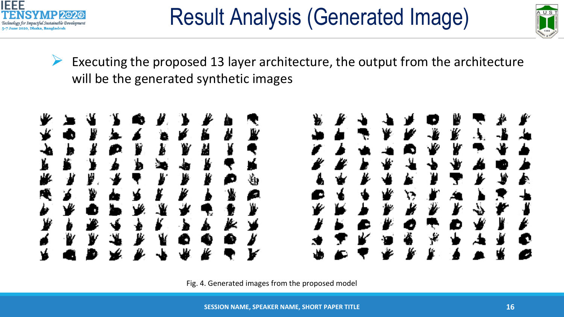



 $\triangleright$  Executing the proposed 13 layer architecture, the output from the architecture will be the generated synthetic images



Fig. 4. Generated images from the proposed model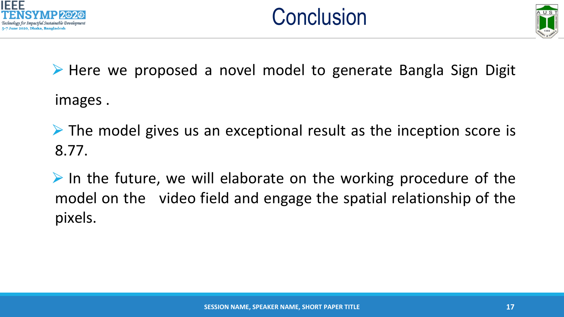





▶ Here we proposed a novel model to generate Bangla Sign Digit images .

 $\triangleright$  The model gives us an exceptional result as the inception score is 8.77.

 $\triangleright$  In the future, we will elaborate on the working procedure of the model on the video field and engage the spatial relationship of the pixels.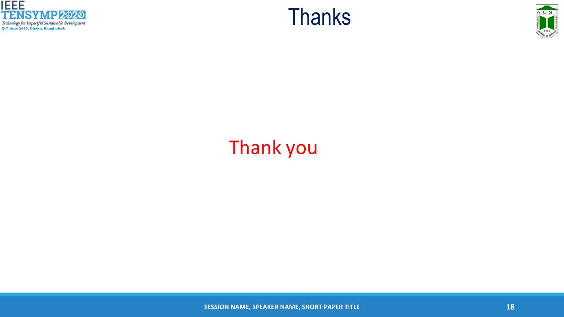





### Thank you

**SESSION NAME, SPEAKER NAME, SHORT PAPER TITLE 18 18 18 18 18 18**